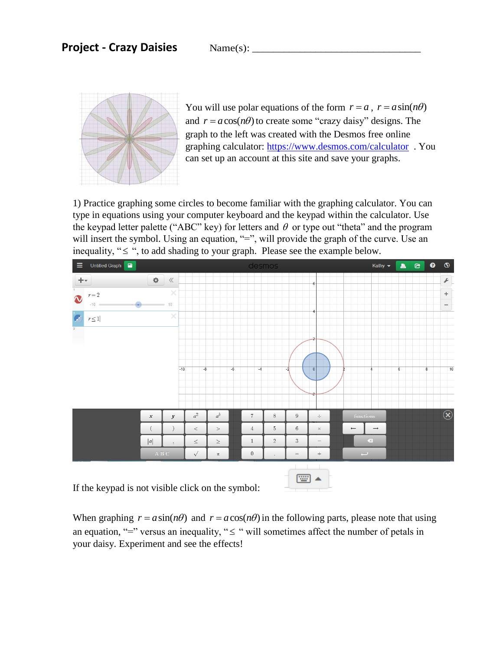## **Project - Crazy Daisies Name(s): \_\_\_**



You will use polar equations of the form  $r = a$ ,  $r = a \sin(n\theta)$ and  $r = a \cos(n\theta)$  to create some "crazy daisy" designs. The graph to the left was created with the Desmos free online graphing calculator:<https://www.desmos.com/calculator>. You can set up an account at this site and save your graphs.

1) Practice graphing some circles to become familiar with the graphing calculator. You can type in equations using your computer keyboard and the keypad within the calculator. Use the keypad letter palette ("ABC" key) for letters and  $\theta$  or type out "theta" and the program will insert the symbol. Using an equation, "=", will provide the graph of the curve. Use an inequality, " $\leq$  ", to add shading to your graph. Please see the example below.



If the keypad is not visible click on the symbol:

When graphing  $r = a \sin(n\theta)$  and  $r = a \cos(n\theta)$  in the following parts, please note that using an equation, "=" versus an inequality, " $\leq$  " will sometimes affect the number of petals in your daisy. Experiment and see the effects!